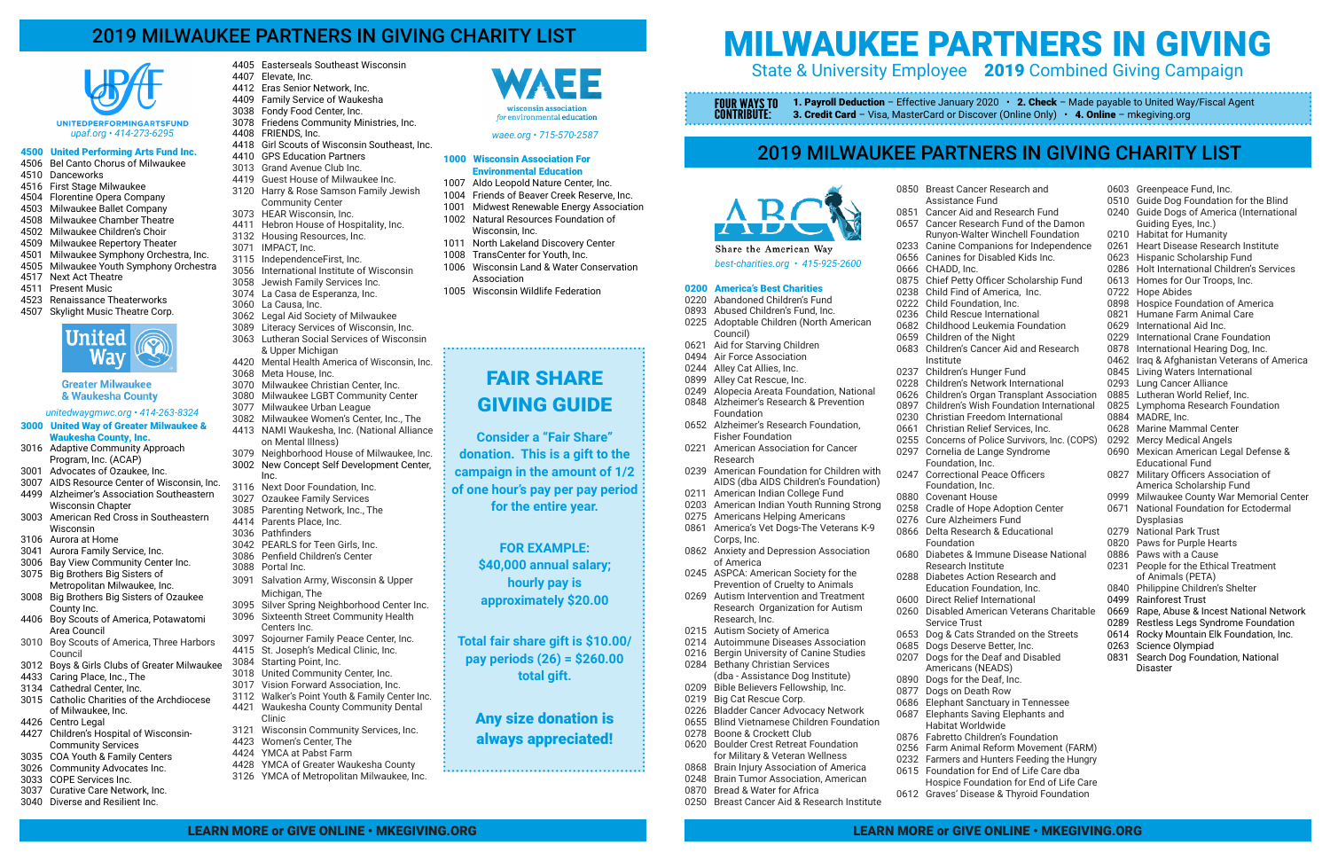# 2019 MILWAUKEE PARTNERS IN GIVING CHARITY LIST

# MILWAUKEE PARTNERS IN GIVING State & University Employee 2019 Combined Giving Campaign

1. Payroll Deduction - Effective January 2020 • 2. Check - Made payable to United Way/Fiscal Agent **3. Credit Card** – Visa, MasterCard or Discover (Online Only)  $\cdot$  **4. Online** – mkegiving.org

FOUR WAYS TO CONTRIBUTE:

# 2019 MILWAUKEE PARTNERS IN GIVING CHARITY LIST

# 4500 United Performing Arts Fund Inc.

- 4506 Bel Canto Chorus of Milwaukee
- 4510 Danceworks
- 4516 First Stage Milwaukee
- 4504 Florentine Opera Company
- 4503 Milwaukee Ballet Company 4508 Milwaukee Chamber Theatre
- 4502 Milwaukee Children's Choir
- 4509 Milwaukee Repertory Theater
- 4501 Milwaukee Symphony Orchestra, Inc.
- 4505 Milwaukee Youth Symphony Orchestra
- 4517 Next Act Theatre
- 4511 Present Music
- 4523 Renaissance Theaterworks
- 4507 Skylight Music Theatre Corp.



### **Greater Milwaukee** & Waukesha County

- 3000 United Way of Greater Milwaukee & Waukesha County, Inc.
- 3016 Adaptive Community Approach Program, Inc. (ACAP)
- 3001 Advocates of Ozaukee, Inc.
- 3007 AIDS Resource Center of Wisconsin, Inc. 4499 Alzheimer's Association Southeastern Wisconsin Chapter
- 3003 American Red Cross in Southeastern Wisconsin
- 3106 Aurora at Home
- 3041 Aurora Family Service, Inc.
- 3006 Bay View Community Center Inc.
- 3075 Big Brothers Big Sisters of Metropolitan Milwaukee, Inc.
- 3008 Big Brothers Big Sisters of Ozaukee County Inc.
- 4406 Boy Scouts of America, Potawatomi Area Council
- 3010 Boy Scouts of America, Three Harbors Council
- 3012 Boys & Girls Clubs of Greater Milwaukee
- 4433 Caring Place, Inc., The
- 3134 Cathedral Center, Inc.
- 3015 Catholic Charities of the Archdiocese of Milwaukee, Inc.
- 4426 Centro Legal
- 4427 Children's Hospital of Wisconsin- Community Services
- 3035 COA Youth & Family Centers
- 3026 Community Advocates Inc.
- 3033 COPE Services Inc.
- 3037 Curative Care Network, Inc. 3040 Diverse and Resilient Inc.

#### 1000 Wisconsin Association For Environmental Education

1007 Aldo Leopold Nature Center, Inc.

1004 Friends of Beaver Creek Reserve, Inc. 1001 Midwest Renewable Energy Association

1002 Natural Resources Foundation of

Wisconsin, Inc.

1011 North Lakeland Discovery Center 1008 TransCenter for Youth, Inc.

1006 Wisconsin Land & Water Conservation

Association

1005 Wisconsin Wildlife Federation

0211 American Indian College Fund 0203 American Indian Youth Running Strong 0275 Americans Helping Americans 0861 America's Vet Dogs-The Veterans K-9

- 4405 Easterseals Southeast Wisconsin
- 4407 Elevate, Inc.
- 4412 Eras Senior Network, Inc.
- 4409 Family Service of Waukesha 3038 Fondy Food Center, Inc.
- 3078 Friedens Community Ministries, Inc.
- 4408 FRIENDS, Inc.
- 
- 4418 Girl Scouts of Wisconsin Southeast, Inc.
- 4410 GPS Education Partners
- 3013 Grand Avenue Club Inc.
- 4419 Guest House of Milwaukee Inc. 3120 Harry & Rose Samson Family Jewish Community Center
- 3073 HEAR Wisconsin, Inc.
- 4411 Hebron House of Hospitality, Inc.
- 3132 Housing Resources, Inc.
- 3071 IMPACT, Inc.
- 3115 IndependenceFirst, Inc.
- 3056 International Institute of Wisconsin
- 3058 Jewish Family Services Inc.
- 3074 La Casa de Esperanza, Inc.
- 3060 La Causa, Inc.
- 3062 Legal Aid Society of Milwaukee
- 3089 Literacy Services of Wisconsin, Inc.
- 3063 Lutheran Social Services of Wisconsin
- & Upper Michigan
- 4420 Mental Health America of Wisconsin, Inc.
- 3068 Meta House, Inc.
- 3070 Milwaukee Christian Center, Inc.
- 3080 Milwaukee LGBT Community Center
- 3077 Milwaukee Urban League
- 3082 Milwaukee Women's Center, Inc., The 4413 NAMI Waukesha, Inc. (National Alliance
- on Mental Illness) 3079 Neighborhood House of Milwaukee, Inc.
- 3002 New Concept Self Development Center, Inc.
- 3116 Next Door Foundation, Inc.
- 3027 Ozaukee Family Services
- 3085 Parenting Network, Inc., The
- 4414 Parents Place, Inc.
- 3036 Pathfinders
- 3042 PEARLS for Teen Girls, Inc.
- 3086 Penfield Children's Center
- 3088 Portal Inc.
- 3091 Salvation Army, Wisconsin & Upper Michigan, The
- 3095 Silver Spring Neighborhood Center Inc.
- 3096 Sixteenth Street Community Health Centers Inc.
- 3097 Sojourner Family Peace Center, Inc. 4415 St. Joseph's Medical Clinic, Inc.
- 3084 Starting Point, Inc.
- 3018 United Community Center, Inc.
- 3017 Vision Forward Association, Inc.
- 3112 Walker's Point Youth & Family Center Inc.
- 4421 Waukesha County Community Dental Clinic
- 3121 Wisconsin Community Services, Inc.
- 4423 Women's Center, The
- 4424 YMCA at Pabst Farm
	- 4428 YMCA of Greater Waukesha County
		- 3126 YMCA of Metropolitan Milwaukee, Inc.



FAIR SHARE

GIVING GUIDE

**Consider a "Fair Share" donation. This is a gift to the campaign in the amount of 1/2 of one hour's pay per pay period for the entire year.**

> **FOR EXAMPLE: \$40,000 annual salary; hourly pay is approximately \$20.00**

**Total fair share gift is \$10.00/ pay periods (26) = \$260.00 total gift.**

Any size donation is always appreciated!

*best-charities.org • 415-925-2600*

Share the American Way

0200 America's Best Charities 0220 Abandoned Children's Fund 0893 Abused Children's Fund, Inc.

0225 Adoptable Children (North American

Council)

0621 Aid for Starving Children 0494 Air Force Association 0244 Alley Cat Allies, Inc. 0899 Alley Cat Rescue, Inc.

0249 Alopecia Areata Foundation, National 0848 Alzheimer's Research & Prevention

Foundation

0652 Alzheimer's Research Foundation,

 Fisher Foundation 0221 American Association for Cancer

Research

0239 American Foundation for Children with AIDS (dba AIDS Children's Foundation)

Corps, Inc.

0862 Anxiety and Depression Association

of America

0245 ASPCA: American Society for the Prevention of Cruelty to Animals 0269 Autism Intervention and Treatment Research Organization for Autism

 Research, Inc. 0215 Autism Society of America 0214 Autoimmune Diseases Association 0216 Bergin University of Canine Studies

0284 Bethany Christian Services

 (dba - Assistance Dog Institute) 0209 Bible Believers Fellowship, Inc.

0219 Big Cat Rescue Corp.

0226 Bladder Cancer Advocacy Network 0655 Blind Vietnamese Children Foundation

0278 Boone & Crockett Club

0620 Boulder Crest Retreat Foundation for Military & Veteran Wellness 0868 Brain Injury Association of America 0248 Brain Tumor Association, American

0870 Bread & Water for Africa

0250 Breast Cancer Aid & Research Institute

- 0850 Breast Cancer Research and Assistance Fund
- 0851 Cancer Aid and Research Fund
- 0657 Cancer Research Fund of the Damon
	- Runyon-Walter Winchell Foundation
- 0233 Canine Companions for Independence
- 0656 Canines for Disabled Kids Inc.
- 0875 Chief Petty Officer Scholarship Fund
- 0238 Child Find of America, Inc.
- 0222 Child Foundation, Inc.

0666 CHADD, Inc.

Institute

Foundation

- 0236 Child Rescue International
- 0682 Childhood Leukemia Foundation
- 0659 Children of the Night
- 0683 Children's Cancer Aid and Research
- 0237 Children's Hunger Fund
- 0228 Children's Network International
- 0626 Children's Organ Transplant Association
- 0897 Children's Wish Foundation International
- 0230 Christian Freedom International
- 0661 Christian Relief Services, Inc.
- 0255 Concerns of Police Survivors, Inc. (COPS) 0297 Cornelia de Lange Syndrome
	- Foundation, Inc.
- 0247 Correctional Peace Officers
	- Foundation, Inc.
- 0880 Covenant House
- 0258 Cradle of Hope Adoption Center
- 0276 Cure Alzheimers Fund
- 0866 Delta Research & Educational
- 0680 Diabetes & Immune Disease National Research Institute
- 0288 Diabetes Action Research and
	- Education Foundation, Inc.
- 0600 Direct Relief International
- 0260 Disabled American Veterans Charitable Service Trust
- 0653 Dog & Cats Stranded on the Streets
- 0685 Dogs Deserve Better, Inc.
- 0207 Dogs for the Deaf and Disabled
	- Americans (NEADS)
- 0890 Dogs for the Deaf, Inc.
- 0877 Dogs on Death Row
- 0686 Elephant Sanctuary in Tennessee
- 0687 Elephants Saving Elephants and
	- Habitat Worldwide
- 0876 Fabretto Children's Foundation
- 0256 Farm Animal Reform Movement (FARM)
- 0232 Farmers and Hunters Feeding the Hungry
- 0615 Foundation for End of Life Care dba
- Hospice Foundation for End of Life Care 0612 Graves' Disease & Thyroid Foundation
- 0603 Greenpeace Fund, Inc.
- 0510 Guide Dog Foundation for the Blind
- 0240 Guide Dogs of America (International Guiding Eyes, Inc.)
- 0210 Habitat for Humanity
- 0261 Heart Disease Research Institute
- 0623 Hispanic Scholarship Fund
- 0286 Holt International Children's Services
- 0613 Homes for Our Troops, Inc.
- 0722 Hope Abides
- 0898 Hospice Foundation of America
- 0821 Humane Farm Animal Care
- 0629 International Aid Inc.
- 0229 International Crane Foundation
- 0878 International Hearing Dog, Inc.
- 0462 Iraq & Afghanistan Veterans of America
- 0845 Living Waters International
- 0293 Lung Cancer Alliance
- 0885 Lutheran World Relief, Inc.
- 0825 Lymphoma Research Foundation
- 0884 MADRE, Inc.
- 0628 Marine Mammal Center
- 0292 Mercy Medical Angels
- 0690 Mexican American Legal Defense & Educational Fund<br>0827 Military Officers A
- **Military Officers Association of** America Scholarship Fund<br>0999 Milwaukee County War Mer
	- Milwaukee County War Memorial Center
- 0671 National Foundation for Ectodermal Dysplasias
- 0279 National Park Trust
- 0820 Paws for Purple Hearts
- 0886 Paws with a Cause
- 0231 People for the Ethical Treatment of Animals (PETA)
- 0840 Philippine Children's Shelter
- 0499 Rainforest Trust
- 0669 Rape, Abuse & Incest National Network
- 0289 Restless Legs Syndrome Foundation
- 0614 Rocky Mountain Elk Foundation, Inc.
- 0263 Science Olympiad
- 0831 Search Dog Foundation, National Disaster

#### *unitedwaygmwc.org • 414-263-8324*